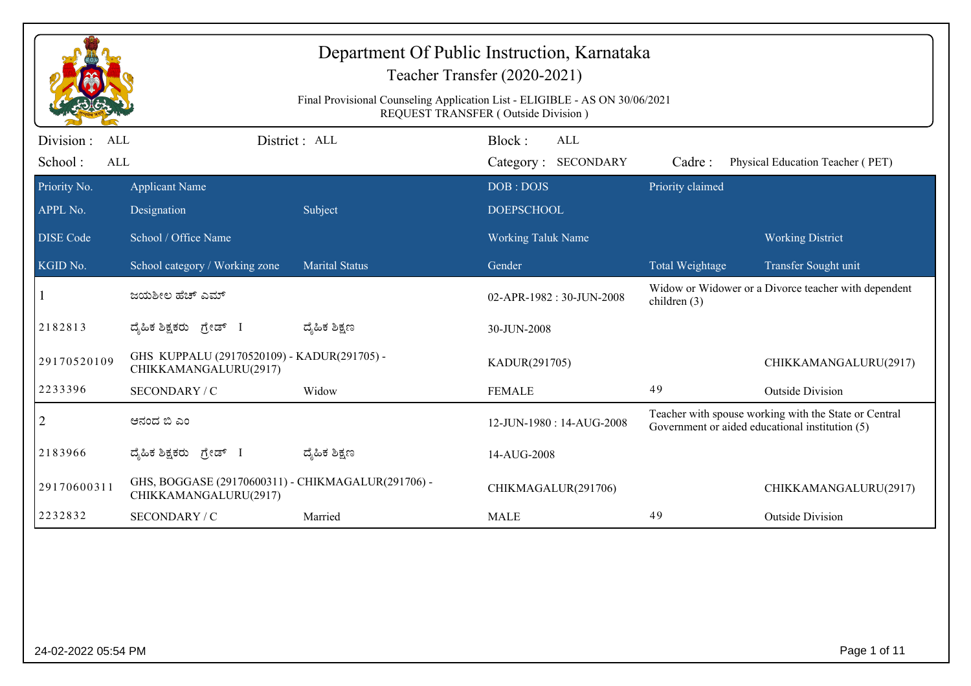| Final Provisional Counseling Application List - ELIGIBLE - AS ON 30/06/2021<br>REQUEST TRANSFER (Outside Division)<br>Division:<br>District: ALL<br>Block:<br><b>ALL</b><br>ALL<br>School:<br>Category: SECONDARY<br>ALL<br>Physical Education Teacher (PET)<br>Cadre:<br>Priority claimed<br><b>Applicant Name</b><br>DOB: DOJS<br>Designation<br>Subject<br><b>DOEPSCHOOL</b><br>School / Office Name<br><b>Working Taluk Name</b><br><b>Working District</b><br><b>Marital Status</b><br>School category / Working zone<br>Gender<br>Total Weightage<br>Transfer Sought unit<br>Widow or Widower or a Divorce teacher with dependent<br>ಜಯಶೀಲ ಹೆಚ್ ಎಮ್<br>02-APR-1982: 30-JUN-2008<br>children (3)<br>ದ್ಮಹಿಕ ಶಿಕ್ಷಣ<br>ದ್ಯಹಿಕ ಶಿಕ್ಷಕರು ಗ್ರೇಡ್ I<br>30-JUN-2008<br>GHS KUPPALU (29170520109) - KADUR(291705) -<br>29170520109<br>KADUR(291705)<br>CHIKKAMANGALURU(2917)<br>2233396<br>49<br><b>Outside Division</b><br>SECONDARY / C<br>Widow<br><b>FEMALE</b><br>Teacher with spouse working with the State or Central<br>2<br>ಆನಂದ ಬಿ ಎಂ<br>12-JUN-1980: 14-AUG-2008<br>Government or aided educational institution (5)<br>ದ್ಯೆಹಿಕ ಶಿಕ್ಷಣ<br>ದ್ಯಹಿಕ ಶಿಕ್ಷಕರು ಗ್ರೇಡ್ I<br>14-AUG-2008<br>GHS, BOGGASE (29170600311) - CHIKMAGALUR(291706) -<br>29170600311<br>CHIKMAGALUR(291706)<br>CHIKKAMANGALURU(2917) |              |               |         | Department Of Public Instruction, Karnataka<br>Teacher Transfer (2020-2021) |    |                         |
|---------------------------------------------------------------------------------------------------------------------------------------------------------------------------------------------------------------------------------------------------------------------------------------------------------------------------------------------------------------------------------------------------------------------------------------------------------------------------------------------------------------------------------------------------------------------------------------------------------------------------------------------------------------------------------------------------------------------------------------------------------------------------------------------------------------------------------------------------------------------------------------------------------------------------------------------------------------------------------------------------------------------------------------------------------------------------------------------------------------------------------------------------------------------------------------------------------------------------------------------------------------------------------------------------------------|--------------|---------------|---------|-----------------------------------------------------------------------------|----|-------------------------|
|                                                                                                                                                                                                                                                                                                                                                                                                                                                                                                                                                                                                                                                                                                                                                                                                                                                                                                                                                                                                                                                                                                                                                                                                                                                                                                               |              |               |         |                                                                             |    |                         |
|                                                                                                                                                                                                                                                                                                                                                                                                                                                                                                                                                                                                                                                                                                                                                                                                                                                                                                                                                                                                                                                                                                                                                                                                                                                                                                               |              |               |         |                                                                             |    |                         |
| APPL No.<br><b>DISE Code</b><br>KGID No.<br>2182813<br>2183966                                                                                                                                                                                                                                                                                                                                                                                                                                                                                                                                                                                                                                                                                                                                                                                                                                                                                                                                                                                                                                                                                                                                                                                                                                                | Priority No. |               |         |                                                                             |    |                         |
|                                                                                                                                                                                                                                                                                                                                                                                                                                                                                                                                                                                                                                                                                                                                                                                                                                                                                                                                                                                                                                                                                                                                                                                                                                                                                                               |              |               |         |                                                                             |    |                         |
|                                                                                                                                                                                                                                                                                                                                                                                                                                                                                                                                                                                                                                                                                                                                                                                                                                                                                                                                                                                                                                                                                                                                                                                                                                                                                                               |              |               |         |                                                                             |    |                         |
|                                                                                                                                                                                                                                                                                                                                                                                                                                                                                                                                                                                                                                                                                                                                                                                                                                                                                                                                                                                                                                                                                                                                                                                                                                                                                                               |              |               |         |                                                                             |    |                         |
|                                                                                                                                                                                                                                                                                                                                                                                                                                                                                                                                                                                                                                                                                                                                                                                                                                                                                                                                                                                                                                                                                                                                                                                                                                                                                                               |              |               |         |                                                                             |    |                         |
|                                                                                                                                                                                                                                                                                                                                                                                                                                                                                                                                                                                                                                                                                                                                                                                                                                                                                                                                                                                                                                                                                                                                                                                                                                                                                                               |              |               |         |                                                                             |    |                         |
|                                                                                                                                                                                                                                                                                                                                                                                                                                                                                                                                                                                                                                                                                                                                                                                                                                                                                                                                                                                                                                                                                                                                                                                                                                                                                                               |              |               |         |                                                                             |    | CHIKKAMANGALURU(2917)   |
|                                                                                                                                                                                                                                                                                                                                                                                                                                                                                                                                                                                                                                                                                                                                                                                                                                                                                                                                                                                                                                                                                                                                                                                                                                                                                                               |              |               |         |                                                                             |    |                         |
|                                                                                                                                                                                                                                                                                                                                                                                                                                                                                                                                                                                                                                                                                                                                                                                                                                                                                                                                                                                                                                                                                                                                                                                                                                                                                                               |              |               |         |                                                                             |    |                         |
|                                                                                                                                                                                                                                                                                                                                                                                                                                                                                                                                                                                                                                                                                                                                                                                                                                                                                                                                                                                                                                                                                                                                                                                                                                                                                                               |              |               |         |                                                                             |    |                         |
|                                                                                                                                                                                                                                                                                                                                                                                                                                                                                                                                                                                                                                                                                                                                                                                                                                                                                                                                                                                                                                                                                                                                                                                                                                                                                                               |              |               |         |                                                                             |    | CHIKKAMANGALURU(2917)   |
|                                                                                                                                                                                                                                                                                                                                                                                                                                                                                                                                                                                                                                                                                                                                                                                                                                                                                                                                                                                                                                                                                                                                                                                                                                                                                                               | 2232832      | SECONDARY / C | Married | <b>MALE</b>                                                                 | 49 | <b>Outside Division</b> |
|                                                                                                                                                                                                                                                                                                                                                                                                                                                                                                                                                                                                                                                                                                                                                                                                                                                                                                                                                                                                                                                                                                                                                                                                                                                                                                               |              |               |         |                                                                             |    |                         |
|                                                                                                                                                                                                                                                                                                                                                                                                                                                                                                                                                                                                                                                                                                                                                                                                                                                                                                                                                                                                                                                                                                                                                                                                                                                                                                               |              |               |         |                                                                             |    |                         |
|                                                                                                                                                                                                                                                                                                                                                                                                                                                                                                                                                                                                                                                                                                                                                                                                                                                                                                                                                                                                                                                                                                                                                                                                                                                                                                               |              |               |         |                                                                             |    |                         |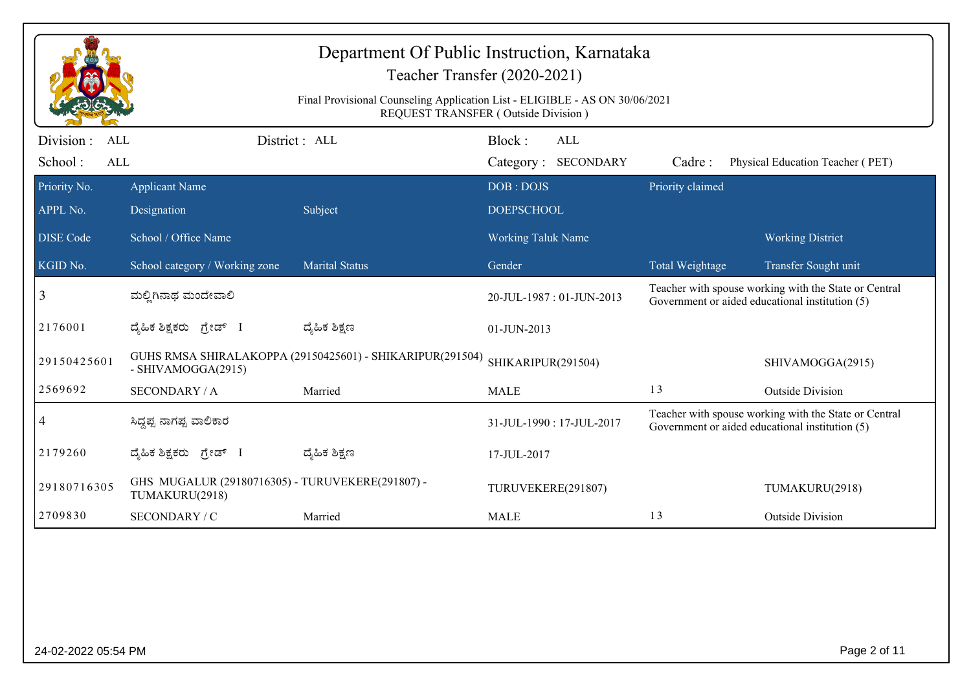| Final Provisional Counseling Application List - ELIGIBLE - AS ON 30/06/2021<br>REQUEST TRANSFER (Outside Division)<br>District: ALL<br>Block:<br><b>ALL</b><br>Division :<br><b>ALL</b><br>School:<br>ALL<br>Category: SECONDARY<br>Cadre:<br>Priority claimed<br>Priority No.<br><b>Applicant Name</b><br>DOB: DOJS<br>APPL No.<br>Subject<br><b>DOEPSCHOOL</b><br>Designation<br>School / Office Name<br><b>DISE</b> Code<br><b>Working Taluk Name</b><br>KGID No.<br>School category / Working zone<br><b>Marital Status</b><br>Gender<br>Total Weightage<br>3<br>ಮಲ್ಲಿಗಿನಾಥ ಮಂದೇವಾಲಿ<br>20-JUL-1987: 01-JUN-2013<br>Government or aided educational institution (5)<br>2176001<br>ದ್ಶೆಹಿಕ ಶಿಕ್ಷಣ<br>ದ್ಯಹಿಕ ಶಿಕ್ಷಕರು ಗ್ರೇಡ್ I<br>$01$ -JUN-2013<br>GUHS RMSA SHIRALAKOPPA (29150425601) - SHIKARIPUR(291504)<br>29150425601<br>SHIKARIPUR(291504)<br>- SHIVAMOGGA(2915)<br>2569692<br>13<br><b>SECONDARY / A</b><br><b>MALE</b><br>Married |  | Department Of Public Instruction, Karnataka | Teacher Transfer (2020-2021) |  |                                                       |
|-----------------------------------------------------------------------------------------------------------------------------------------------------------------------------------------------------------------------------------------------------------------------------------------------------------------------------------------------------------------------------------------------------------------------------------------------------------------------------------------------------------------------------------------------------------------------------------------------------------------------------------------------------------------------------------------------------------------------------------------------------------------------------------------------------------------------------------------------------------------------------------------------------------------------------------------------|--|---------------------------------------------|------------------------------|--|-------------------------------------------------------|
|                                                                                                                                                                                                                                                                                                                                                                                                                                                                                                                                                                                                                                                                                                                                                                                                                                                                                                                                               |  |                                             |                              |  |                                                       |
|                                                                                                                                                                                                                                                                                                                                                                                                                                                                                                                                                                                                                                                                                                                                                                                                                                                                                                                                               |  |                                             |                              |  | Physical Education Teacher (PET)                      |
|                                                                                                                                                                                                                                                                                                                                                                                                                                                                                                                                                                                                                                                                                                                                                                                                                                                                                                                                               |  |                                             |                              |  |                                                       |
|                                                                                                                                                                                                                                                                                                                                                                                                                                                                                                                                                                                                                                                                                                                                                                                                                                                                                                                                               |  |                                             |                              |  |                                                       |
|                                                                                                                                                                                                                                                                                                                                                                                                                                                                                                                                                                                                                                                                                                                                                                                                                                                                                                                                               |  |                                             |                              |  | <b>Working District</b>                               |
|                                                                                                                                                                                                                                                                                                                                                                                                                                                                                                                                                                                                                                                                                                                                                                                                                                                                                                                                               |  |                                             |                              |  | Transfer Sought unit                                  |
|                                                                                                                                                                                                                                                                                                                                                                                                                                                                                                                                                                                                                                                                                                                                                                                                                                                                                                                                               |  |                                             |                              |  | Teacher with spouse working with the State or Central |
|                                                                                                                                                                                                                                                                                                                                                                                                                                                                                                                                                                                                                                                                                                                                                                                                                                                                                                                                               |  |                                             |                              |  |                                                       |
|                                                                                                                                                                                                                                                                                                                                                                                                                                                                                                                                                                                                                                                                                                                                                                                                                                                                                                                                               |  |                                             |                              |  | SHIVAMOGGA(2915)                                      |
|                                                                                                                                                                                                                                                                                                                                                                                                                                                                                                                                                                                                                                                                                                                                                                                                                                                                                                                                               |  |                                             |                              |  | <b>Outside Division</b>                               |
| 4<br>ಸಿದ್ದಪ್ಪ ನಾಗಪ್ಪ ವಾಲಿಕಾರ<br>31-JUL-1990: 17-JUL-2017<br>Government or aided educational institution (5)                                                                                                                                                                                                                                                                                                                                                                                                                                                                                                                                                                                                                                                                                                                                                                                                                                   |  |                                             |                              |  | Teacher with spouse working with the State or Central |
| ದ್ಶೆಹಿಕ ಶಿಕ್ಷಣ<br>2179260<br>ದ್ಯಹಿಕ ಶಿಕ್ಷಕರು ಗ್ರೇಡ್ I<br>17-JUL-2017                                                                                                                                                                                                                                                                                                                                                                                                                                                                                                                                                                                                                                                                                                                                                                                                                                                                          |  |                                             |                              |  |                                                       |
| GHS MUGALUR (29180716305) - TURUVEKERE(291807) -<br>29180716305<br>TURUVEKERE(291807)<br>TUMAKURU(2918)                                                                                                                                                                                                                                                                                                                                                                                                                                                                                                                                                                                                                                                                                                                                                                                                                                       |  |                                             |                              |  | TUMAKURU(2918)                                        |
| 13<br>2709830<br>SECONDARY / C<br>Married<br><b>MALE</b>                                                                                                                                                                                                                                                                                                                                                                                                                                                                                                                                                                                                                                                                                                                                                                                                                                                                                      |  |                                             |                              |  | <b>Outside Division</b>                               |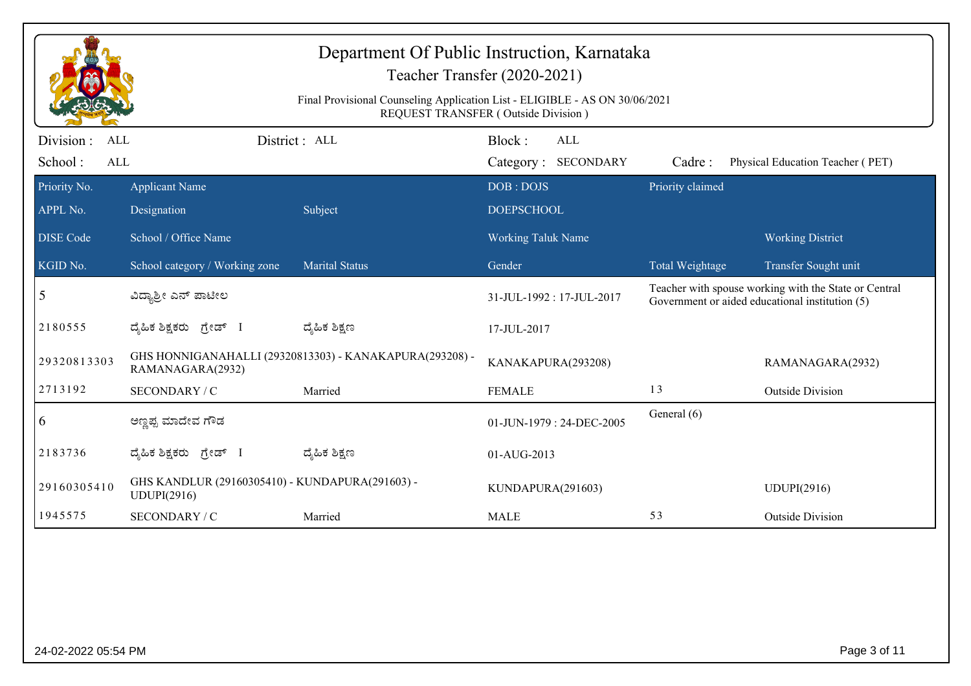|                                            |                                                                | Department Of Public Instruction, Karnataka<br>Teacher Transfer (2020-2021)                                        |                                |                            |                  |                                                                                                          |
|--------------------------------------------|----------------------------------------------------------------|--------------------------------------------------------------------------------------------------------------------|--------------------------------|----------------------------|------------------|----------------------------------------------------------------------------------------------------------|
|                                            |                                                                | Final Provisional Counseling Application List - ELIGIBLE - AS ON 30/06/2021<br>REQUEST TRANSFER (Outside Division) |                                |                            |                  |                                                                                                          |
| Division :<br><b>ALL</b><br>School:<br>ALL |                                                                | District: ALL                                                                                                      | Block:                         | ALL<br>Category: SECONDARY | Cadre:           | Physical Education Teacher (PET)                                                                         |
| Priority No.<br>APPL No.                   | <b>Applicant Name</b><br>Designation                           | Subject                                                                                                            | DOB: DOJS<br><b>DOEPSCHOOL</b> |                            | Priority claimed |                                                                                                          |
| <b>DISE Code</b>                           | School / Office Name                                           |                                                                                                                    | Working Taluk Name             |                            |                  | <b>Working District</b>                                                                                  |
| KGID No.                                   | School category / Working zone                                 | <b>Marital Status</b>                                                                                              | Gender                         |                            | Total Weightage  | Transfer Sought unit                                                                                     |
| 5                                          | ವಿದ್ಯಾಶ್ರೀ ಎನ್ ಪಾಟೀಲ                                           |                                                                                                                    | 31-JUL-1992: 17-JUL-2017       |                            |                  | Teacher with spouse working with the State or Central<br>Government or aided educational institution (5) |
| 2180555                                    | ದ್ಯಹಿಕ ಶಿಕ್ಷಕರು ಗ್ರೇಡ್ I                                       | ದ್ಶೆಹಿಕ ಶಿಕ್ಷಣ                                                                                                     | 17-JUL-2017                    |                            |                  |                                                                                                          |
| 29320813303                                | RAMANAGARA(2932)                                               | GHS HONNIGANAHALLI (29320813303) - KANAKAPURA(293208) -                                                            | KANAKAPURA(293208)             |                            |                  | RAMANAGARA(2932)                                                                                         |
| 2713192                                    | SECONDARY / C                                                  | Married                                                                                                            | <b>FEMALE</b>                  |                            | 13               | <b>Outside Division</b>                                                                                  |
| 6                                          | ಅಣ್ಣಪ್ಪ ಮಾದೇವ ಗೌಡ                                              |                                                                                                                    |                                | 01-JUN-1979: 24-DEC-2005   | General (6)      |                                                                                                          |
| 2183736                                    | ದ್ಯಹಿಕ ಶಿಕ್ಷಕರು ಗ್ರೇಡ್ I                                       | ದ್ಮಹಿಕ ಶಿಕ್ಷಣ                                                                                                      | 01-AUG-2013                    |                            |                  |                                                                                                          |
| 29160305410                                | GHS KANDLUR (29160305410) - KUNDAPURA(291603) -<br>UDUPI(2916) |                                                                                                                    | KUNDAPURA(291603)              |                            |                  | UDUPI(2916)                                                                                              |
| 1945575                                    | SECONDARY / C                                                  | Married                                                                                                            | <b>MALE</b>                    |                            | 53               | <b>Outside Division</b>                                                                                  |
|                                            |                                                                |                                                                                                                    |                                |                            |                  |                                                                                                          |
| 24-02-2022 05:54 PM                        |                                                                |                                                                                                                    |                                |                            |                  | Page 3 of 11                                                                                             |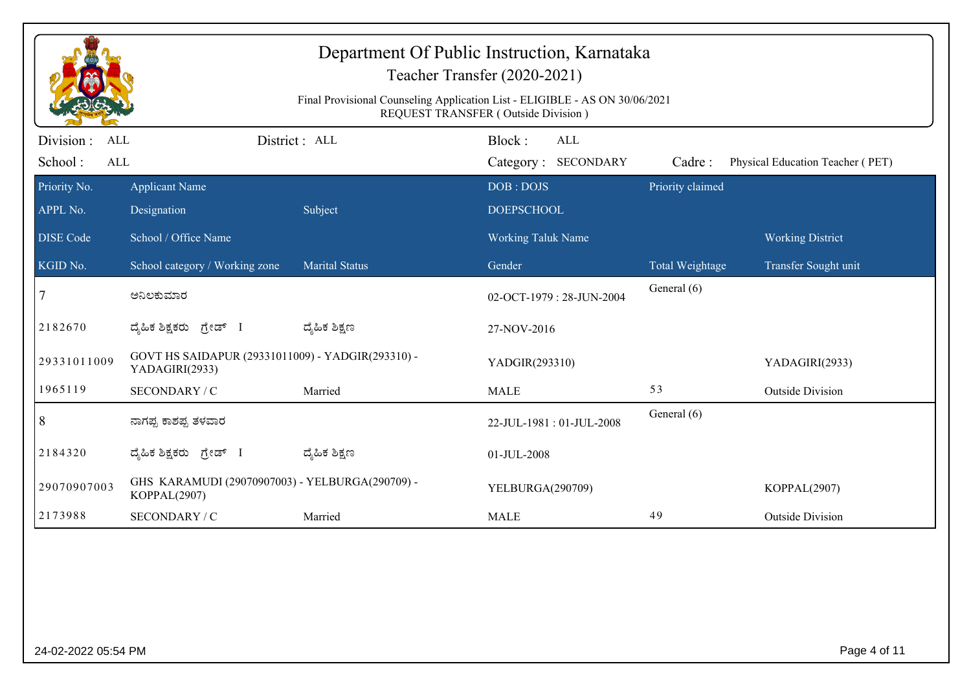|                     |                                                                     | Department Of Public Instruction, Karnataka<br>Final Provisional Counseling Application List - ELIGIBLE - AS ON 30/06/2021 | Teacher Transfer (2020-2021)<br>REQUEST TRANSFER (Outside Division) |                  |                                  |
|---------------------|---------------------------------------------------------------------|----------------------------------------------------------------------------------------------------------------------------|---------------------------------------------------------------------|------------------|----------------------------------|
| Division :<br>ALL   |                                                                     | District: ALL                                                                                                              | Block:<br><b>ALL</b>                                                |                  |                                  |
| School:<br>ALL      |                                                                     |                                                                                                                            | Category: SECONDARY                                                 | Cadre:           | Physical Education Teacher (PET) |
| Priority No.        | <b>Applicant Name</b>                                               |                                                                                                                            | DOB: DOJS                                                           | Priority claimed |                                  |
| APPL No.            | Designation                                                         | Subject                                                                                                                    | <b>DOEPSCHOOL</b>                                                   |                  |                                  |
| <b>DISE Code</b>    | School / Office Name                                                |                                                                                                                            | Working Taluk Name                                                  |                  | <b>Working District</b>          |
| KGID No.            | School category / Working zone                                      | <b>Marital Status</b>                                                                                                      | Gender                                                              | Total Weightage  | Transfer Sought unit             |
| 7                   | ಅನಿಲಕುಮಾರ                                                           |                                                                                                                            | 02-OCT-1979: 28-JUN-2004                                            | General (6)      |                                  |
| 2182670             | ದ್ಯಹಿಕ ಶಿಕ್ಷಕರು ಗ್ರೇಡ್ I                                            | ದ್ಶೆಹಿಕ ಶಿಕ್ಷಣ                                                                                                             | 27-NOV-2016                                                         |                  |                                  |
| 29331011009         | GOVT HS SAIDAPUR (29331011009) - YADGIR(293310) -<br>YADAGIRI(2933) |                                                                                                                            | YADGIR(293310)                                                      |                  | YADAGIRI(2933)                   |
| 1965119             | SECONDARY / C                                                       | Married                                                                                                                    | <b>MALE</b>                                                         | 53               | <b>Outside Division</b>          |
| 8                   | ನಾಗಪ್ಪ ಕಾಶಪ್ಪ ತಳವಾರ                                                 |                                                                                                                            | 22-JUL-1981: 01-JUL-2008                                            | General (6)      |                                  |
| 2184320             | ದ್ಯಹಿಕ ಶಿಕ್ಷಕರು ಗ್ರೇಡ್ I                                            | ದ್ಶೆಹಿಕ ಶಿಕ್ಷಣ                                                                                                             | 01-JUL-2008                                                         |                  |                                  |
| 29070907003         | GHS KARAMUDI (29070907003) - YELBURGA(290709) -<br>KOPPAL(2907)     |                                                                                                                            | YELBURGA(290709)                                                    |                  | KOPPAL(2907)                     |
| 2173988             | SECONDARY / C                                                       | Married                                                                                                                    | <b>MALE</b>                                                         | 49               | <b>Outside Division</b>          |
|                     |                                                                     |                                                                                                                            |                                                                     |                  |                                  |
| 24-02-2022 05:54 PM |                                                                     |                                                                                                                            |                                                                     |                  | Page 4 of 11                     |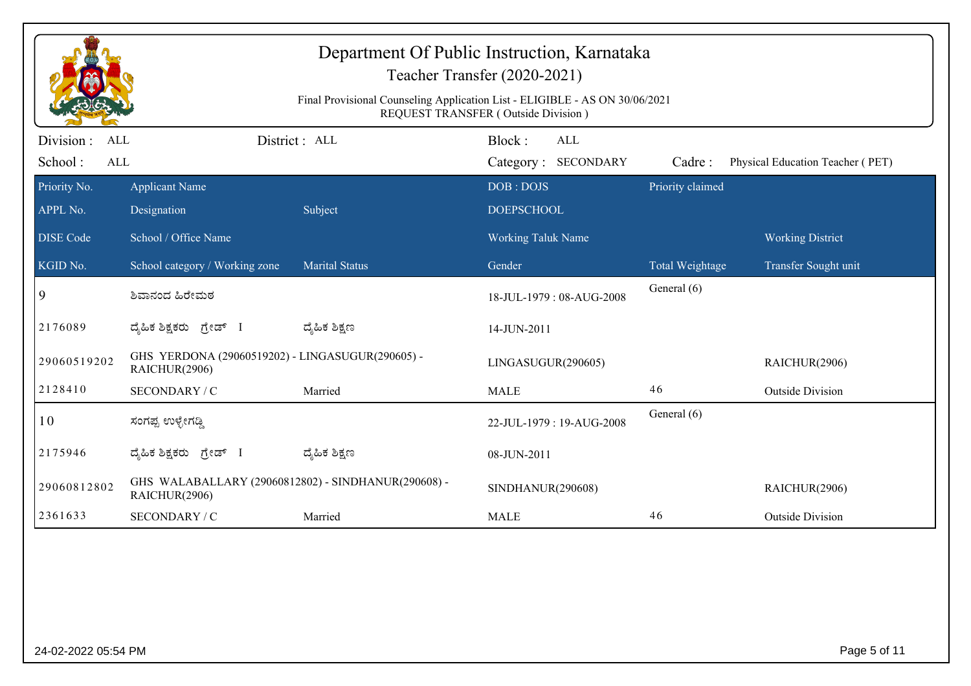|                          |                                                                      | Final Provisional Counseling Application List - ELIGIBLE - AS ON 30/06/2021 | Department Of Public Instruction, Karnataka<br>Teacher Transfer (2020-2021)<br>REQUEST TRANSFER (Outside Division) |                  |                                  |
|--------------------------|----------------------------------------------------------------------|-----------------------------------------------------------------------------|--------------------------------------------------------------------------------------------------------------------|------------------|----------------------------------|
| Division :<br><b>ALL</b> |                                                                      | District: ALL                                                               | Block:<br><b>ALL</b>                                                                                               |                  |                                  |
| School:<br><b>ALL</b>    |                                                                      |                                                                             | Category: SECONDARY                                                                                                | Cadre:           | Physical Education Teacher (PET) |
| Priority No.<br>APPL No. | <b>Applicant Name</b><br>Designation                                 | Subject                                                                     | DOB: DOJS<br><b>DOEPSCHOOL</b>                                                                                     | Priority claimed |                                  |
| <b>DISE Code</b>         | School / Office Name                                                 |                                                                             | Working Taluk Name                                                                                                 |                  | <b>Working District</b>          |
| KGID No.                 | School category / Working zone                                       | <b>Marital Status</b>                                                       | Gender                                                                                                             | Total Weightage  | Transfer Sought unit             |
| 9                        | ಶಿವಾನಂದ ಹಿರೇಮಠ                                                       |                                                                             | 18-JUL-1979: 08-AUG-2008                                                                                           | General (6)      |                                  |
| 2176089                  | ದೈಹಿಕ ಶಿಕ್ಷಕರು ಗ್ರೇಡ್ I                                              | ದ್ಯೆಹಿಕ ಶಿಕ್ಷಣ                                                              | 14-JUN-2011                                                                                                        |                  |                                  |
| 29060519202              | GHS YERDONA (29060519202) - LINGASUGUR(290605) -<br>RAICHUR(2906)    |                                                                             | LINGASUGUR(290605)                                                                                                 |                  | RAICHUR(2906)                    |
| 2128410                  | SECONDARY / C                                                        | Married                                                                     | <b>MALE</b>                                                                                                        | 46               | <b>Outside Division</b>          |
| 10                       | ಸಂಗಪ್ಪ ಉಳ್ಳೇಗಡ್ಡಿ                                                    |                                                                             | 22-JUL-1979: 19-AUG-2008                                                                                           | General (6)      |                                  |
| 2175946                  | ದ್ಯಹಿಕ ಶಿಕ್ಷಕರು ಗ್ರೇಡ್ I                                             | ದ್ಯೆಹಿಕ ಶಿಕ್ಷಣ                                                              | 08-JUN-2011                                                                                                        |                  |                                  |
| 29060812802              | GHS WALABALLARY (29060812802) - SINDHANUR(290608) -<br>RAICHUR(2906) |                                                                             | SINDHANUR(290608)                                                                                                  |                  | RAICHUR(2906)                    |
| 2361633                  | SECONDARY / C                                                        | Married                                                                     | <b>MALE</b>                                                                                                        | 46               | <b>Outside Division</b>          |
|                          |                                                                      |                                                                             |                                                                                                                    |                  |                                  |
| 24-02-2022 05:54 PM      |                                                                      |                                                                             |                                                                                                                    |                  | Page 5 of 11                     |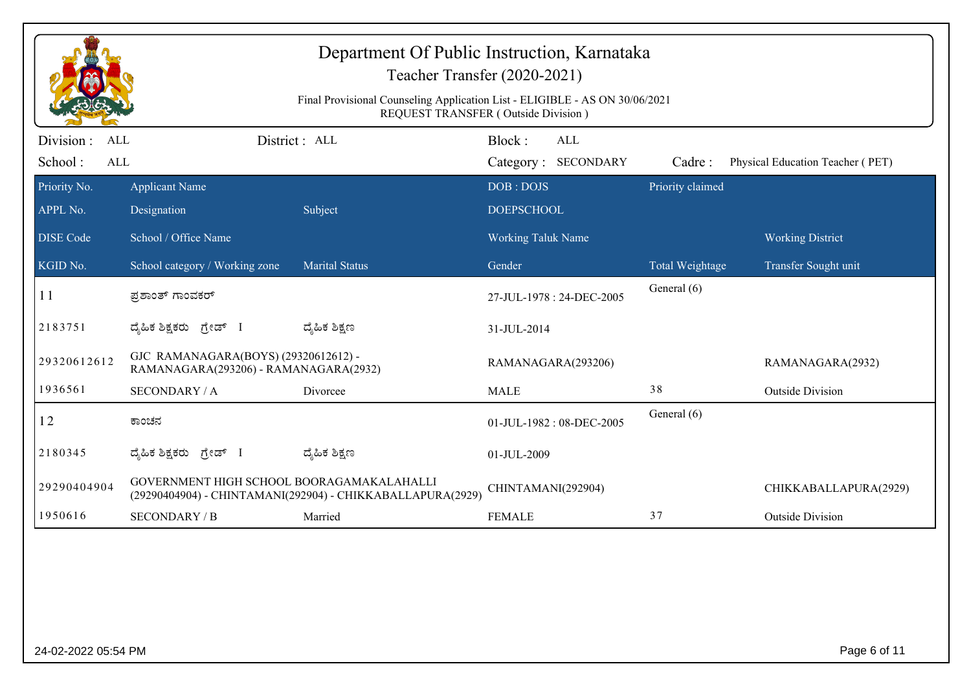|                                            |                                                                               | Department Of Public Instruction, Karnataka<br>Teacher Transfer (2020-2021)<br>Final Provisional Counseling Application List - ELIGIBLE - AS ON 30/06/2021<br>REQUEST TRANSFER (Outside Division) |                                |                            |                  |                                  |
|--------------------------------------------|-------------------------------------------------------------------------------|---------------------------------------------------------------------------------------------------------------------------------------------------------------------------------------------------|--------------------------------|----------------------------|------------------|----------------------------------|
| Division :<br>ALL<br>School:<br><b>ALL</b> |                                                                               | District: ALL                                                                                                                                                                                     | Block:                         | ALL<br>Category: SECONDARY | Cadre:           | Physical Education Teacher (PET) |
| Priority No.<br>APPL No.                   | <b>Applicant Name</b><br>Designation                                          | Subject                                                                                                                                                                                           | DOB: DOJS<br><b>DOEPSCHOOL</b> |                            | Priority claimed |                                  |
| <b>DISE Code</b>                           | School / Office Name                                                          |                                                                                                                                                                                                   | <b>Working Taluk Name</b>      |                            |                  | <b>Working District</b>          |
| KGID No.                                   | School category / Working zone                                                | <b>Marital Status</b>                                                                                                                                                                             | Gender                         |                            | Total Weightage  | Transfer Sought unit             |
| 11                                         | ಪ್ರಶಾಂತ್ ಗಾಂವಕರ್                                                              |                                                                                                                                                                                                   | 27-JUL-1978: 24-DEC-2005       |                            | General (6)      |                                  |
| 2183751                                    | ದೈಹಿಕ ಶಿಕ್ಷಕರು ಗ್ರೇಡ್ I                                                       | ದ್ಮಹಿಕ ಶಿಕ್ಷಣ                                                                                                                                                                                     | 31-JUL-2014                    |                            |                  |                                  |
| 29320612612                                | GJC RAMANAGARA(BOYS) (29320612612) -<br>RAMANAGARA(293206) - RAMANAGARA(2932) |                                                                                                                                                                                                   | RAMANAGARA(293206)             |                            |                  | RAMANAGARA(2932)                 |
| 1936561                                    | <b>SECONDARY / A</b>                                                          | Divorcee                                                                                                                                                                                          | <b>MALE</b>                    |                            | 38               | <b>Outside Division</b>          |
| 12                                         | ಕಾಂಚನ                                                                         |                                                                                                                                                                                                   | 01-JUL-1982: 08-DEC-2005       |                            | General (6)      |                                  |
| 2180345                                    | ದ್ಯಹಿಕ ಶಿಕ್ಷಕರು ಗ್ರೇಡ್ I                                                      | ದ್ಯೆಹಿಕ ಶಿಕ್ಷಣ                                                                                                                                                                                    | 01-JUL-2009                    |                            |                  |                                  |
| 29290404904                                | GOVERNMENT HIGH SCHOOL BOORAGAMAKALAHALLI                                     | (29290404904) - CHINTAMANI(292904) - CHIKKABALLAPURA(2929)                                                                                                                                        | CHINTAMANI(292904)             |                            |                  | CHIKKABALLAPURA(2929)            |
| 1950616                                    | <b>SECONDARY / B</b>                                                          | Married                                                                                                                                                                                           | <b>FEMALE</b>                  |                            | 37               | <b>Outside Division</b>          |
|                                            |                                                                               |                                                                                                                                                                                                   |                                |                            |                  |                                  |
| 24-02-2022 05:54 PM                        |                                                                               |                                                                                                                                                                                                   |                                |                            |                  | Page 6 of 11                     |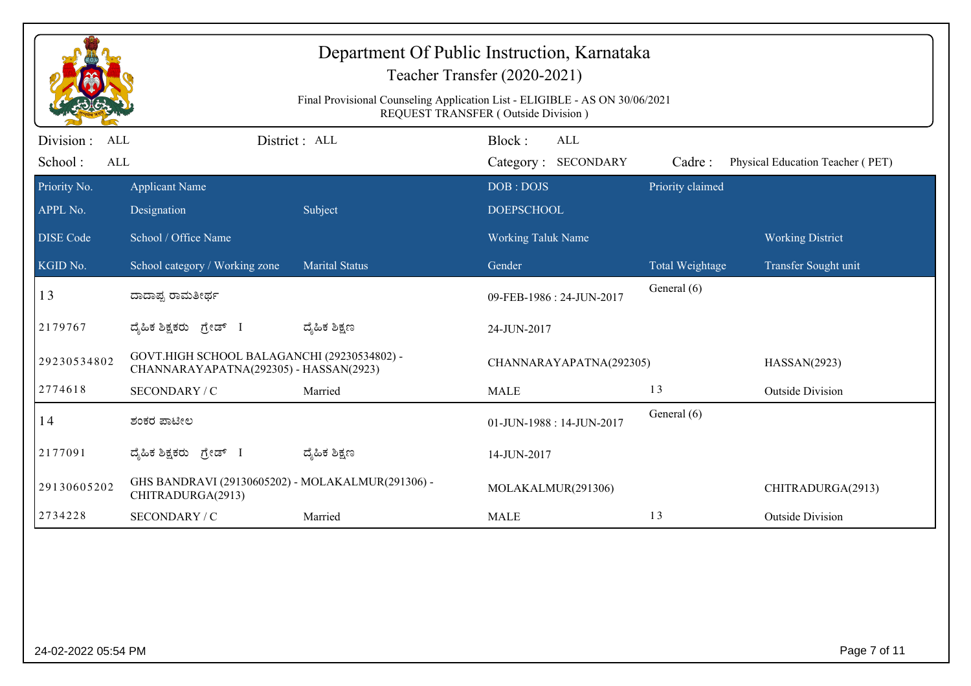|                              |                                                                                       | Final Provisional Counseling Application List - ELIGIBLE - AS ON 30/06/2021 | Department Of Public Instruction, Karnataka<br>Teacher Transfer (2020-2021)<br><b>REQUEST TRANSFER (Outside Division)</b> |                  |                                  |
|------------------------------|---------------------------------------------------------------------------------------|-----------------------------------------------------------------------------|---------------------------------------------------------------------------------------------------------------------------|------------------|----------------------------------|
| Division :<br>ALL            |                                                                                       | District: ALL                                                               | Block:<br><b>ALL</b>                                                                                                      |                  |                                  |
| School:<br>ALL               |                                                                                       |                                                                             | Category: SECONDARY                                                                                                       | Cadre:           | Physical Education Teacher (PET) |
| Priority No.<br>APPL No.     | <b>Applicant Name</b><br>Designation                                                  | Subject                                                                     | DOB: DOJS<br><b>DOEPSCHOOL</b>                                                                                            | Priority claimed |                                  |
| <b>DISE Code</b>             | School / Office Name                                                                  |                                                                             | Working Taluk Name                                                                                                        |                  | <b>Working District</b>          |
| $\overline{\text{KGID No.}}$ | School category / Working zone                                                        | <b>Marital Status</b>                                                       | Gender                                                                                                                    | Total Weightage  | Transfer Sought unit             |
| 13                           | ದಾದಾಪ್ಪ ರಾಮತೀರ್ಥ                                                                      |                                                                             | 09-FEB-1986: 24-JUN-2017                                                                                                  | General (6)      |                                  |
| 2179767                      | ದೈಹಿಕ ಶಿಕ್ಷಕರು ಗ್ರೇಡ್ I                                                               | ದ್ಶೆಹಿಕ ಶಿಕ್ಷಣ                                                              | 24-JUN-2017                                                                                                               |                  |                                  |
| 29230534802                  | GOVT.HIGH SCHOOL BALAGANCHI (29230534802) -<br>CHANNARAYAPATNA(292305) - HASSAN(2923) |                                                                             | CHANNARAYAPATNA(292305)                                                                                                   |                  | HASSAN(2923)                     |
| 2774618                      | SECONDARY / C                                                                         | Married                                                                     | <b>MALE</b>                                                                                                               | 13               | <b>Outside Division</b>          |
| 14                           | ಶಂಕರ ಪಾಟೀಲ                                                                            |                                                                             | 01-JUN-1988: 14-JUN-2017                                                                                                  | General (6)      |                                  |
| 2177091                      | ದ್ಯಹಿಕ ಶಿಕ್ಷಕರು ಗ್ರೇಡ್ I                                                              | ದ್ಶೆಹಿಕ ಶಿಕ್ಷಣ                                                              | 14-JUN-2017                                                                                                               |                  |                                  |
| 29130605202                  | GHS BANDRAVI (29130605202) - MOLAKALMUR(291306) -<br>CHITRADURGA(2913)                |                                                                             | MOLAKALMUR(291306)                                                                                                        |                  | CHITRADURGA(2913)                |
| 2734228                      | SECONDARY / C                                                                         | Married                                                                     | <b>MALE</b>                                                                                                               | 13               | <b>Outside Division</b>          |
|                              |                                                                                       |                                                                             |                                                                                                                           |                  |                                  |
| 24-02-2022 05:54 PM          |                                                                                       |                                                                             |                                                                                                                           |                  | Page 7 of 11                     |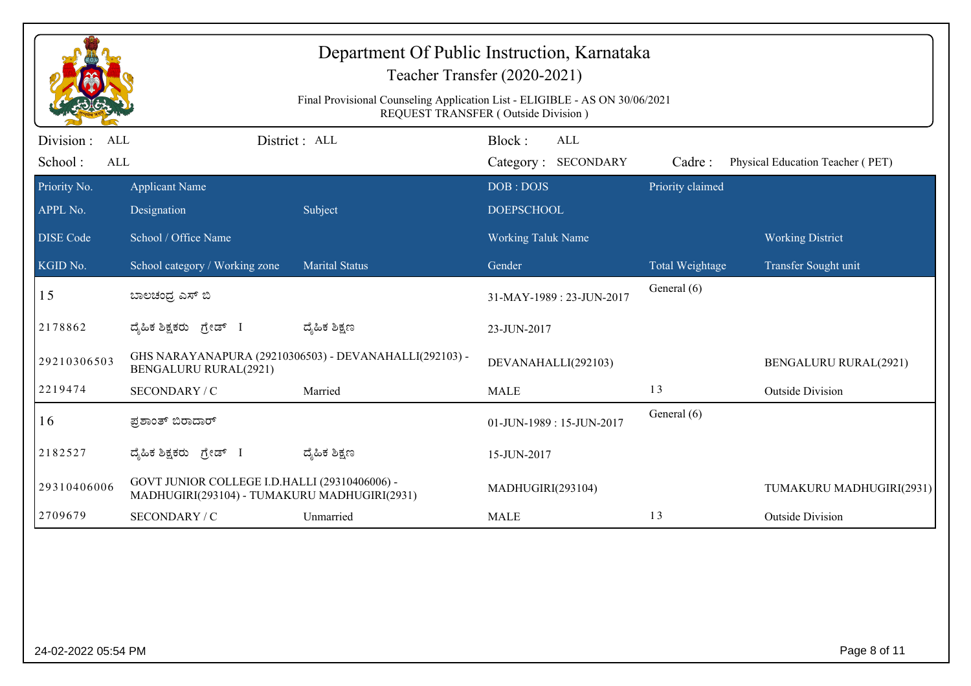|                                                   |                                                                                               | Department Of Public Instruction, Karnataka<br>Teacher Transfer (2020-2021)<br>Final Provisional Counseling Application List - ELIGIBLE - AS ON 30/06/2021<br>REQUEST TRANSFER (Outside Division) |                                |                                   |                  |                                  |
|---------------------------------------------------|-----------------------------------------------------------------------------------------------|---------------------------------------------------------------------------------------------------------------------------------------------------------------------------------------------------|--------------------------------|-----------------------------------|------------------|----------------------------------|
| Division :<br><b>ALL</b><br>School:<br><b>ALL</b> |                                                                                               | District: ALL                                                                                                                                                                                     | Block:                         | <b>ALL</b><br>Category: SECONDARY | Cadre:           | Physical Education Teacher (PET) |
| Priority No.<br>APPL No.                          | <b>Applicant Name</b><br>Designation                                                          | Subject                                                                                                                                                                                           | DOB: DOJS<br><b>DOEPSCHOOL</b> |                                   | Priority claimed |                                  |
| <b>DISE</b> Code                                  | School / Office Name                                                                          |                                                                                                                                                                                                   | Working Taluk Name             |                                   |                  | <b>Working District</b>          |
| KGID No.                                          | School category / Working zone                                                                | <b>Marital Status</b>                                                                                                                                                                             | Gender                         |                                   | Total Weightage  | Transfer Sought unit             |
| 15                                                | ಬಾಲಚಂದ್ರ ಎಸ್ ಬಿ                                                                               |                                                                                                                                                                                                   |                                | 31-MAY-1989: 23-JUN-2017          | General (6)      |                                  |
| 2178862                                           | ದೈಹಿಕ ಶಿಕ್ಷಕರು ಗ್ರೇಡ್ I                                                                       | ದ್ಯೆಹಿಕ ಶಿಕ್ಷಣ                                                                                                                                                                                    | 23-JUN-2017                    |                                   |                  |                                  |
| 29210306503                                       | <b>BENGALURU RURAL(2921)</b>                                                                  | GHS NARAYANAPURA (29210306503) - DEVANAHALLI(292103) -                                                                                                                                            | DEVANAHALLI(292103)            |                                   |                  | <b>BENGALURU RURAL(2921)</b>     |
| 2219474                                           | SECONDARY / C                                                                                 | Married                                                                                                                                                                                           | <b>MALE</b>                    |                                   | 13               | <b>Outside Division</b>          |
| 16                                                | ಪ್ರಶಾಂತ್ ಬಿರಾದಾರ್                                                                             |                                                                                                                                                                                                   |                                | 01-JUN-1989: 15-JUN-2017          | General (6)      |                                  |
| 2182527                                           | ದ್ಯಹಿಕ ಶಿಕ್ಷಕರು ಗ್ರೇಡ್ I                                                                      | ದ್ಯೆಹಿಕ ಶಿಕ್ಷಣ                                                                                                                                                                                    | 15-JUN-2017                    |                                   |                  |                                  |
| 29310406006                                       | GOVT JUNIOR COLLEGE I.D.HALLI (29310406006) -<br>MADHUGIRI(293104) - TUMAKURU MADHUGIRI(2931) |                                                                                                                                                                                                   | MADHUGIRI(293104)              |                                   |                  | TUMAKURU MADHUGIRI(2931)         |
| 2709679                                           | SECONDARY / C                                                                                 | Unmarried                                                                                                                                                                                         | <b>MALE</b>                    |                                   | 13               | <b>Outside Division</b>          |
|                                                   |                                                                                               |                                                                                                                                                                                                   |                                |                                   |                  |                                  |
| 24-02-2022 05:54 PM                               |                                                                                               |                                                                                                                                                                                                   |                                |                                   |                  | Page 8 of 11                     |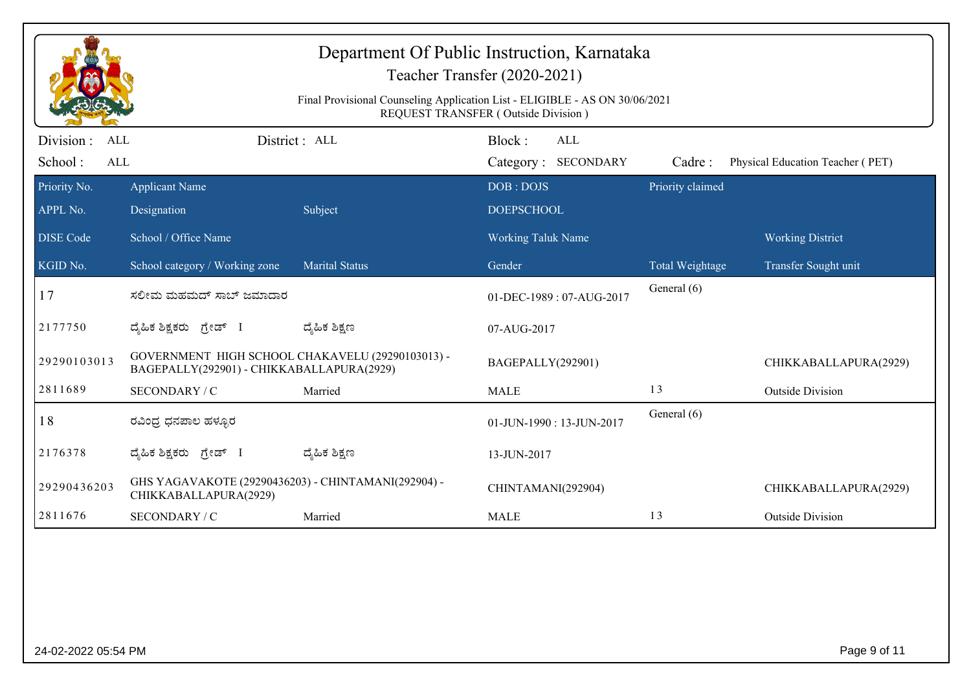|                          |                                                                                               | Final Provisional Counseling Application List - ELIGIBLE - AS ON 30/06/2021 | REQUEST TRANSFER (Outside Division) |                  |                                  |
|--------------------------|-----------------------------------------------------------------------------------------------|-----------------------------------------------------------------------------|-------------------------------------|------------------|----------------------------------|
| Division :<br><b>ALL</b> |                                                                                               | District: ALL                                                               | Block:<br>ALL                       |                  |                                  |
| School:<br><b>ALL</b>    |                                                                                               |                                                                             | Category: SECONDARY                 | Cadre:           | Physical Education Teacher (PET) |
| Priority No.             | <b>Applicant Name</b>                                                                         |                                                                             | DOB: DOJS                           | Priority claimed |                                  |
| APPL No.                 | Designation                                                                                   | Subject                                                                     | <b>DOEPSCHOOL</b>                   |                  |                                  |
| <b>DISE</b> Code         | School / Office Name                                                                          |                                                                             | <b>Working Taluk Name</b>           |                  | <b>Working District</b>          |
| KGID No.                 | School category / Working zone                                                                | <b>Marital Status</b>                                                       | Gender                              | Total Weightage  | Transfer Sought unit             |
| 17                       | ಸಲೀಮ ಮಹಮದ್ ಸಾಬ್ ಜಮಾದಾರ                                                                        |                                                                             | 01-DEC-1989: 07-AUG-2017            | General (6)      |                                  |
| 2177750                  | ದ್ಯಹಿಕ ಶಿಕ್ಷಕರು ಗ್ರೇಡ್ I                                                                      | ದ್ಯೆಹಿಕ ಶಿಕ್ಷಣ                                                              | 07-AUG-2017                         |                  |                                  |
| 29290103013              | GOVERNMENT HIGH SCHOOL CHAKAVELU (29290103013) -<br>BAGEPALLY(292901) - CHIKKABALLAPURA(2929) |                                                                             | BAGEPALLY(292901)                   |                  | CHIKKABALLAPURA(2929)            |
| 2811689                  | SECONDARY / C                                                                                 | Married                                                                     | <b>MALE</b>                         | 13               | <b>Outside Division</b>          |
| 18                       | ರವಿಂದ್ರ ಧನಪಾಲ ಹಳ್ಳೂರ                                                                          |                                                                             | 01-JUN-1990: 13-JUN-2017            | General (6)      |                                  |
| 2176378                  | ದ್ಯಹಿಕ ಶಿಕ್ಷಕರು <i>ಗ್ರೇ</i> ಡ್ I                                                              | ದ್ಯೆಹಿಕ ಶಿಕ್ಷಣ                                                              | 13-JUN-2017                         |                  |                                  |
| 29290436203              | GHS YAGAVAKOTE (29290436203) - CHINTAMANI(292904) -<br>CHIKKABALLAPURA(2929)                  |                                                                             | CHINTAMANI(292904)                  |                  | CHIKKABALLAPURA(2929)            |
| 2811676                  | SECONDARY / C                                                                                 | Married                                                                     | <b>MALE</b>                         | 13               | <b>Outside Division</b>          |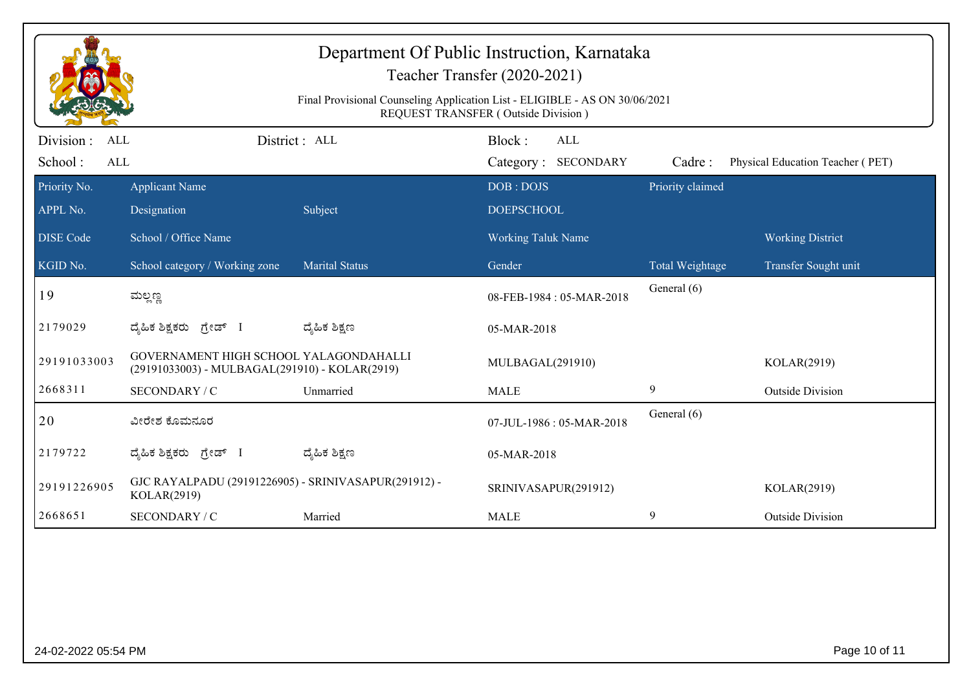|                          |                                                                                          | Final Provisional Counseling Application List - ELIGIBLE - AS ON 30/06/2021 | Department Of Public Instruction, Karnataka<br>Teacher Transfer (2020-2021)<br>REQUEST TRANSFER (Outside Division) |                  |                                  |
|--------------------------|------------------------------------------------------------------------------------------|-----------------------------------------------------------------------------|--------------------------------------------------------------------------------------------------------------------|------------------|----------------------------------|
| Division :<br><b>ALL</b> |                                                                                          | District: ALL                                                               | Block:<br><b>ALL</b>                                                                                               |                  |                                  |
| School:<br>ALL           |                                                                                          |                                                                             | Category: SECONDARY                                                                                                | Cadre:           | Physical Education Teacher (PET) |
| Priority No.             | <b>Applicant Name</b>                                                                    |                                                                             | DOB: DOJS                                                                                                          | Priority claimed |                                  |
| APPL No.                 | Designation                                                                              | Subject                                                                     | <b>DOEPSCHOOL</b>                                                                                                  |                  |                                  |
| <b>DISE Code</b>         | School / Office Name                                                                     |                                                                             | Working Taluk Name                                                                                                 |                  | <b>Working District</b>          |
| KGID No.                 | School category / Working zone                                                           | <b>Marital Status</b>                                                       | Gender                                                                                                             | Total Weightage  | Transfer Sought unit             |
| 19                       | ಮಲ್ಲಣ್ಣ                                                                                  |                                                                             | 08-FEB-1984: 05-MAR-2018                                                                                           | General (6)      |                                  |
| 2179029                  | ದೈಹಿಕ ಶಿಕ್ಷಕರು <i>ಗ್ರೇಡ್</i> I                                                           | ದ್ಮಹಿಕ ಶಿಕ್ಷಣ                                                               | 05-MAR-2018                                                                                                        |                  |                                  |
| 29191033003              | GOVERNAMENT HIGH SCHOOL YALAGONDAHALLI<br>(29191033003) - MULBAGAL(291910) - KOLAR(2919) |                                                                             | MULBAGAL(291910)                                                                                                   |                  | KOLAR(2919)                      |
| 2668311                  | SECONDARY / C                                                                            | Unmarried                                                                   | <b>MALE</b>                                                                                                        | 9                | <b>Outside Division</b>          |
| 20                       | ವೀರೇಶ ಕೊಮನೂರ                                                                             |                                                                             | 07-JUL-1986: 05-MAR-2018                                                                                           | General (6)      |                                  |
| 2179722                  | ದ್ಯಹಿಕ ಶಿಕ್ಷಕರು ಗ್ರೇಡ್ I                                                                 | ದ್ಯೆಹಿಕ ಶಿಕ್ಷಣ                                                              | 05-MAR-2018                                                                                                        |                  |                                  |
| 29191226905              | GJC RAYALPADU (29191226905) - SRINIVASAPUR(291912) -<br>KOLAR(2919)                      |                                                                             | SRINIVASAPUR(291912)                                                                                               |                  | KOLAR(2919)                      |
| 2668651                  | SECONDARY / C                                                                            | Married                                                                     | <b>MALE</b>                                                                                                        | 9                | <b>Outside Division</b>          |
|                          |                                                                                          |                                                                             |                                                                                                                    |                  |                                  |
| 24-02-2022 05:54 PM      |                                                                                          |                                                                             |                                                                                                                    |                  | Page 10 of 11                    |